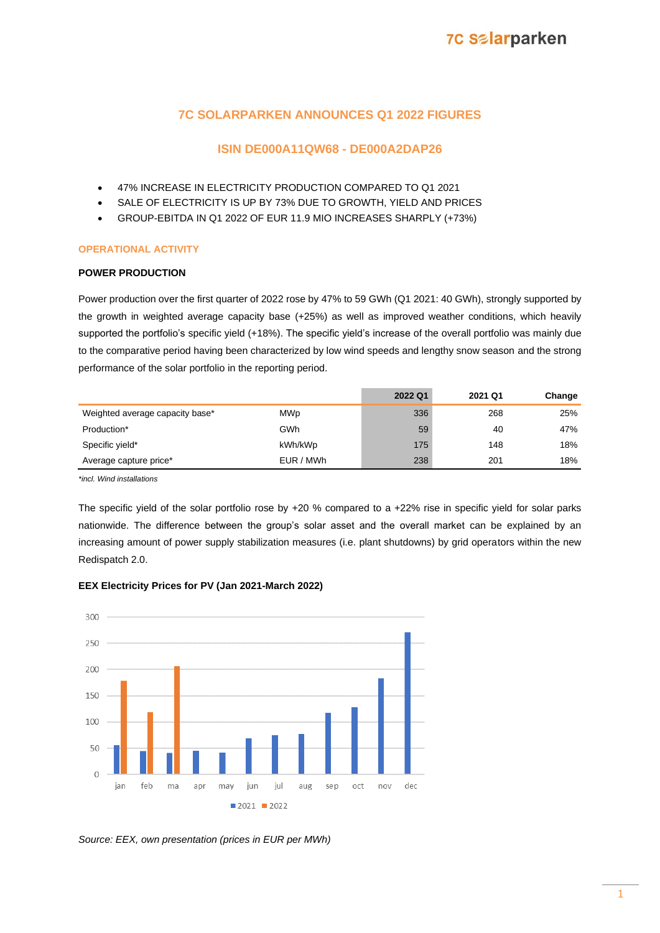## **7C SOLARPARKEN ANNOUNCES Q1 2022 FIGURES**

## **ISIN DE000A11QW68 - DE000A2DAP26**

- 47% INCREASE IN ELECTRICITY PRODUCTION COMPARED TO Q1 2021
- SALE OF ELECTRICITY IS UP BY 73% DUE TO GROWTH, YIELD AND PRICES
- GROUP-EBITDA IN Q1 2022 OF EUR 11.9 MIO INCREASES SHARPLY (+73%)

## **OPERATIONAL ACTIVITY**

## **POWER PRODUCTION**

Power production over the first quarter of 2022 rose by 47% to 59 GWh (Q1 2021: 40 GWh), strongly supported by the growth in weighted average capacity base (+25%) as well as improved weather conditions, which heavily supported the portfolio's specific yield (+18%). The specific yield's increase of the overall portfolio was mainly due to the comparative period having been characterized by low wind speeds and lengthy snow season and the strong performance of the solar portfolio in the reporting period.

|                                 |            | 2022 Q1 | 2021 Q1 | Change |
|---------------------------------|------------|---------|---------|--------|
| Weighted average capacity base* | <b>MWp</b> | 336     | 268     | 25%    |
| Production*                     | GWh        | 59      | 40      | 47%    |
| Specific yield*                 | kWh/kWp    | 175     | 148     | 18%    |
| Average capture price*          | EUR / MWh  | 238     | 201     | 18%    |
|                                 |            |         |         |        |

*\*incl. Wind installations* 

The specific yield of the solar portfolio rose by +20 % compared to a +22% rise in specific yield for solar parks nationwide. The difference between the group's solar asset and the overall market can be explained by an increasing amount of power supply stabilization measures (i.e. plant shutdowns) by grid operators within the new Redispatch 2.0.

## **EEX Electricity Prices for PV (Jan 2021-March 2022)**



*Source: EEX, own presentation (prices in EUR per MWh)*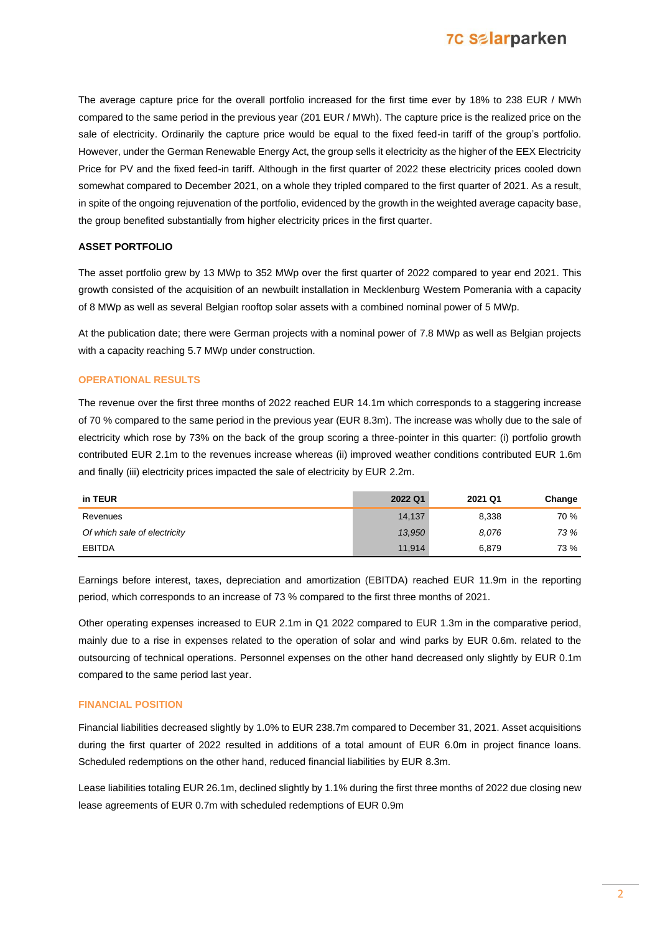

The average capture price for the overall portfolio increased for the first time ever by 18% to 238 EUR / MWh compared to the same period in the previous year (201 EUR / MWh). The capture price is the realized price on the sale of electricity. Ordinarily the capture price would be equal to the fixed feed-in tariff of the group's portfolio. However, under the German Renewable Energy Act, the group sells it electricity as the higher of the EEX Electricity Price for PV and the fixed feed-in tariff. Although in the first quarter of 2022 these electricity prices cooled down somewhat compared to December 2021, on a whole they tripled compared to the first quarter of 2021. As a result, in spite of the ongoing rejuvenation of the portfolio, evidenced by the growth in the weighted average capacity base, the group benefited substantially from higher electricity prices in the first quarter.

#### **ASSET PORTFOLIO**

The asset portfolio grew by 13 MWp to 352 MWp over the first quarter of 2022 compared to year end 2021. This growth consisted of the acquisition of an newbuilt installation in Mecklenburg Western Pomerania with a capacity of 8 MWp as well as several Belgian rooftop solar assets with a combined nominal power of 5 MWp.

At the publication date; there were German projects with a nominal power of 7.8 MWp as well as Belgian projects with a capacity reaching 5.7 MWp under construction.

#### **OPERATIONAL RESULTS**

The revenue over the first three months of 2022 reached EUR 14.1m which corresponds to a staggering increase of 70 % compared to the same period in the previous year (EUR 8.3m). The increase was wholly due to the sale of electricity which rose by 73% on the back of the group scoring a three-pointer in this quarter: (i) portfolio growth contributed EUR 2.1m to the revenues increase whereas (ii) improved weather conditions contributed EUR 1.6m and finally (iii) electricity prices impacted the sale of electricity by EUR 2.2m.

| in TEUR                      | 2022 Q1 | 2021 Q1 | Change |
|------------------------------|---------|---------|--------|
| Revenues                     | 14,137  | 8,338   | 70 %   |
| Of which sale of electricity | 13,950  | 8.076   | 73 %   |
| <b>EBITDA</b>                | 11,914  | 6.879   | 73 %   |

Earnings before interest, taxes, depreciation and amortization (EBITDA) reached EUR 11.9m in the reporting period, which corresponds to an increase of 73 % compared to the first three months of 2021.

Other operating expenses increased to EUR 2.1m in Q1 2022 compared to EUR 1.3m in the comparative period, mainly due to a rise in expenses related to the operation of solar and wind parks by EUR 0.6m. related to the outsourcing of technical operations. Personnel expenses on the other hand decreased only slightly by EUR 0.1m compared to the same period last year.

#### **FINANCIAL POSITION**

Financial liabilities decreased slightly by 1.0% to EUR 238.7m compared to December 31, 2021. Asset acquisitions during the first quarter of 2022 resulted in additions of a total amount of EUR 6.0m in project finance loans. Scheduled redemptions on the other hand, reduced financial liabilities by EUR 8.3m.

Lease liabilities totaling EUR 26.1m, declined slightly by 1.1% during the first three months of 2022 due closing new lease agreements of EUR 0.7m with scheduled redemptions of EUR 0.9m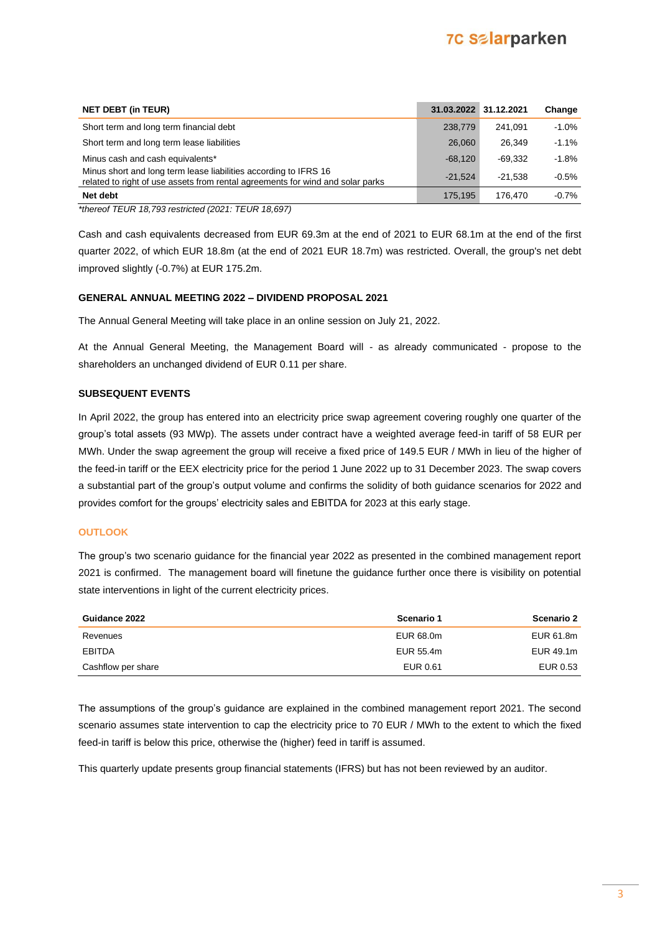## **7C Salarparken**

| <b>NET DEBT (in TEUR)</b>                                                                                                                          | 31.03.2022 31.12.2021 |           | Change   |
|----------------------------------------------------------------------------------------------------------------------------------------------------|-----------------------|-----------|----------|
| Short term and long term financial debt                                                                                                            | 238,779               | 241.091   | $-1.0%$  |
| Short term and long term lease liabilities                                                                                                         | 26,060                | 26.349    | $-1.1\%$ |
| Minus cash and cash equivalents*                                                                                                                   | $-68.120$             | $-69.332$ | $-1.8%$  |
| Minus short and long term lease liabilities according to IFRS 16<br>related to right of use assets from rental agreements for wind and solar parks | $-21.524$             | $-21.538$ | $-0.5%$  |
| Net debt                                                                                                                                           | 175.195               | 176.470   | $-0.7%$  |

*\*thereof TEUR 18,793 restricted (2021: TEUR 18,697)*

Cash and cash equivalents decreased from EUR 69.3m at the end of 2021 to EUR 68.1m at the end of the first quarter 2022, of which EUR 18.8m (at the end of 2021 EUR 18.7m) was restricted. Overall, the group's net debt improved slightly (-0.7%) at EUR 175.2m.

## **GENERAL ANNUAL MEETING 2022 – DIVIDEND PROPOSAL 2021**

The Annual General Meeting will take place in an online session on July 21, 2022.

At the Annual General Meeting, the Management Board will - as already communicated - propose to the shareholders an unchanged dividend of EUR 0.11 per share.

## **SUBSEQUENT EVENTS**

In April 2022, the group has entered into an electricity price swap agreement covering roughly one quarter of the group's total assets (93 MWp). The assets under contract have a weighted average feed-in tariff of 58 EUR per MWh. Under the swap agreement the group will receive a fixed price of 149.5 EUR / MWh in lieu of the higher of the feed-in tariff or the EEX electricity price for the period 1 June 2022 up to 31 December 2023. The swap covers a substantial part of the group's output volume and confirms the solidity of both guidance scenarios for 2022 and provides comfort for the groups' electricity sales and EBITDA for 2023 at this early stage.

## **OUTLOOK**

The group's two scenario guidance for the financial year 2022 as presented in the combined management report 2021 is confirmed. The management board will finetune the guidance further once there is visibility on potential state interventions in light of the current electricity prices.

| Guidance 2022      | Scenario 1 | <b>Scenario 2</b> |
|--------------------|------------|-------------------|
| Revenues           | EUR 68.0m  | EUR 61.8m         |
| <b>EBITDA</b>      | EUR 55.4m  | EUR 49.1m         |
| Cashflow per share | EUR 0.61   | EUR 0.53          |

The assumptions of the group's guidance are explained in the combined management report 2021. The second scenario assumes state intervention to cap the electricity price to 70 EUR / MWh to the extent to which the fixed feed-in tariff is below this price, otherwise the (higher) feed in tariff is assumed.

This quarterly update presents group financial statements (IFRS) but has not been reviewed by an auditor.